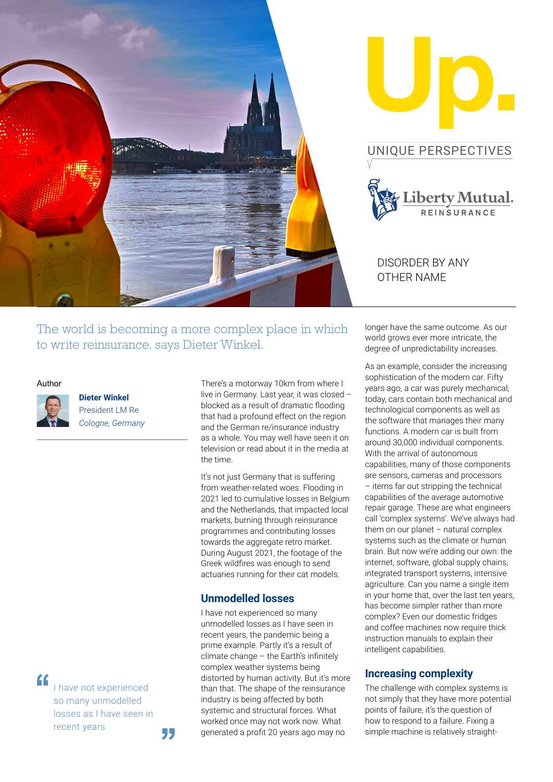

The world is becoming a more complex place in which to write reinsurance, says Dieter Winkel.

### Author

"



**Dieter Winkel**  President LM Re *Cologne, Germany*

I have not experienced so many unmodelled losses as I have seen in recent years

"

There's a motorway 10km from where I live in Germany. Last year, it was closed – blocked as a result of dramatic flooding that had a profound effect on the region and the German re/insurance industry as a whole. You may well have seen it on television or read about it in the media at the time.

It's not just Germany that is suffering from weather-related woes. Flooding in 2021 led to cumulative losses in Belgium and the Netherlands, that impacted local markets, burning through reinsurance programmes and contributing losses towards the aggregate retro market. During August 2021, the footage of the Greek wildfires was enough to send actuaries running for their cat models.

## **Unmodelled losses**

I have not experienced so many unmodelled losses as I have seen in recent years, the pandemic being a prime example. Partly it's a result of climate change – the Earth's infinitely complex weather systems being distorted by human activity. But it's more than that. The shape of the reinsurance industry is being affected by both systemic and structural forces. What worked once may not work now. What generated a profit 20 years ago may no

longer have the same outcome. As our world grows ever more intricate, the degree of unpredictability increases.

As an example, consider the increasing sophistication of the modern car. Fifty years ago, a car was purely mechanical; today, cars contain both mechanical and technological components as well as the software that manages their many functions. A modern car is built from around 30,000 individual components. With the arrival of autonomous capabilities, many of those components are sensors, cameras and processors – items far out stripping the technical capabilities of the average automotive repair garage. These are what engineers call 'complex systems'. We've always had them on our planet  $-$  natural complex systems such as the climate or human brain. But now we're adding our own: the internet, software, global supply chains, integrated transport systems, intensive agriculture. Can you name a single item in your home that, over the last ten years, has become simpler rather than more complex? Even our domestic fridges and coffee machines now require thick instruction manuals to explain their intelligent capabilities.

## **Increasing complexity**

The challenge with complex systems is not simply that they have more potential points of failure, it's the question of how to respond to a failure. Fixing a simple machine is relatively straight-